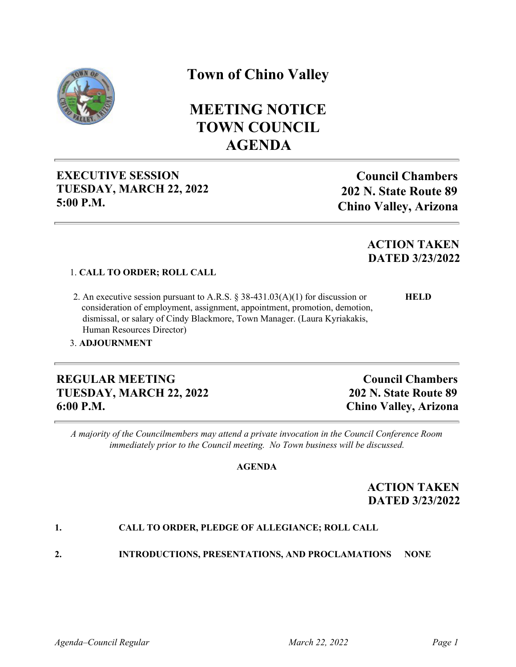

# **Town of Chino Valley**

# **MEETING NOTICE TOWN COUNCIL AGENDA**

## **EXECUTIVE SESSION TUESDAY, MARCH 22, 2022 5:00 P.M.**

**Council Chambers 202 N. State Route 89 Chino Valley, Arizona**

# **ACTION TAKEN DATED 3/23/2022**

### 1. **CALL TO ORDER; ROLL CALL**

 2. An executive session pursuant to A.R.S. § 38-431.03(A)(1) for discussion or **HELD** consideration of employment, assignment, appointment, promotion, demotion, dismissal, or salary of Cindy Blackmore, Town Manager. (Laura Kyriakakis, Human Resources Director)

### 3. **ADJOURNMENT**

### **REGULAR MEETING TUESDAY, MARCH 22, 2022 6:00 P.M.**

**Council Chambers 202 N. State Route 89 Chino Valley, Arizona**

*A majority of the Councilmembers may attend a private invocation in the Council Conference Room immediately prior to the Council meeting. No Town business will be discussed.*

#### **AGENDA**

## **ACTION TAKEN DATED 3/23/2022**

### **1. CALL TO ORDER, PLEDGE OF ALLEGIANCE; ROLL CALL**

**2. INTRODUCTIONS, PRESENTATIONS, AND PROCLAMATIONS NONE**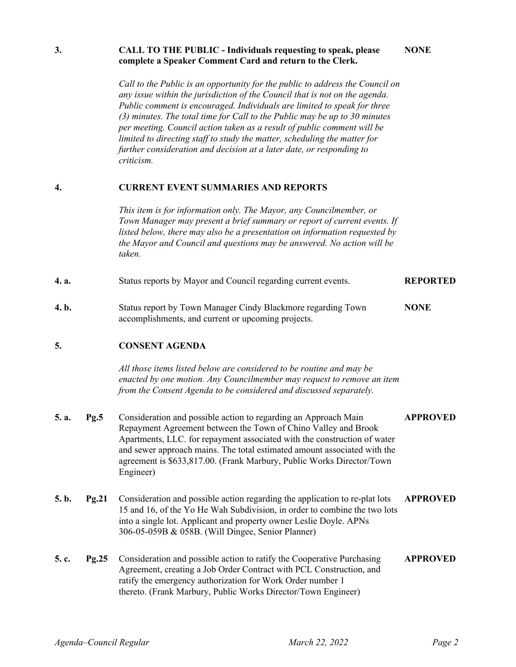|       |       | criticism.                                                                                                                                                                                                                                                                                                                                                                      |                 |  |
|-------|-------|---------------------------------------------------------------------------------------------------------------------------------------------------------------------------------------------------------------------------------------------------------------------------------------------------------------------------------------------------------------------------------|-----------------|--|
| 4.    |       | <b>CURRENT EVENT SUMMARIES AND REPORTS</b>                                                                                                                                                                                                                                                                                                                                      |                 |  |
|       |       | This item is for information only. The Mayor, any Councilmember, or<br>Town Manager may present a brief summary or report of current events. If<br>listed below, there may also be a presentation on information requested by<br>the Mayor and Council and questions may be answered. No action will be<br>taken.                                                               |                 |  |
| 4. a. |       | Status reports by Mayor and Council regarding current events.                                                                                                                                                                                                                                                                                                                   | <b>REPORTED</b> |  |
| 4. b. |       | Status report by Town Manager Cindy Blackmore regarding Town<br>accomplishments, and current or upcoming projects.                                                                                                                                                                                                                                                              | <b>NONE</b>     |  |
| 5.    |       | <b>CONSENT AGENDA</b>                                                                                                                                                                                                                                                                                                                                                           |                 |  |
|       |       | All those items listed below are considered to be routine and may be<br>enacted by one motion. Any Councilmember may request to remove an item<br>from the Consent Agenda to be considered and discussed separately.                                                                                                                                                            |                 |  |
| 5. a. | Pg.5  | Consideration and possible action to regarding an Approach Main<br>Repayment Agreement between the Town of Chino Valley and Brook<br>Apartments, LLC. for repayment associated with the construction of water<br>and sewer approach mains. The total estimated amount associated with the<br>agreement is \$633,817.00. (Frank Marbury, Public Works Director/Town<br>Engineer) | <b>APPROVED</b> |  |
| 5. b. | Pg.21 | Consideration and possible action regarding the application to re-plat lots<br>15 and 16, of the Yo He Wah Subdivision, in order to combine the two lots<br>into a single lot. Applicant and property owner Leslie Doyle. APNs<br>306-05-059B & 058B. (Will Dingee, Senior Planner)                                                                                             | <b>APPROVED</b> |  |
| 5. c. | Pg.25 | Consideration and possible action to ratify the Cooperative Purchasing<br>Agreement, creating a Job Order Contract with PCL Construction, and<br>ratify the emergency authorization for Work Order number 1<br>thereto. (Frank Marbury, Public Works Director/Town Engineer)                                                                                                    | <b>APPROVED</b> |  |
|       |       |                                                                                                                                                                                                                                                                                                                                                                                 |                 |  |

## **3. CALL TO THE PUBLIC - Individuals requesting to speak, please complete a Speaker Comment Card and return to the Clerk.**

*Call to the Public is an opportunity for the public to address the Council on any issue within the jurisdiction of the Council that is not on the agenda. Public comment is encouraged. Individuals are limited to speak for three (3) minutes. The total time for Call to the Public may be up to 30 minutes per meeting. Council action taken as a result of public comment will be limited to directing staff to study the matter, scheduling the matter for further consideration and decision at a later date, or responding to*

**NONE**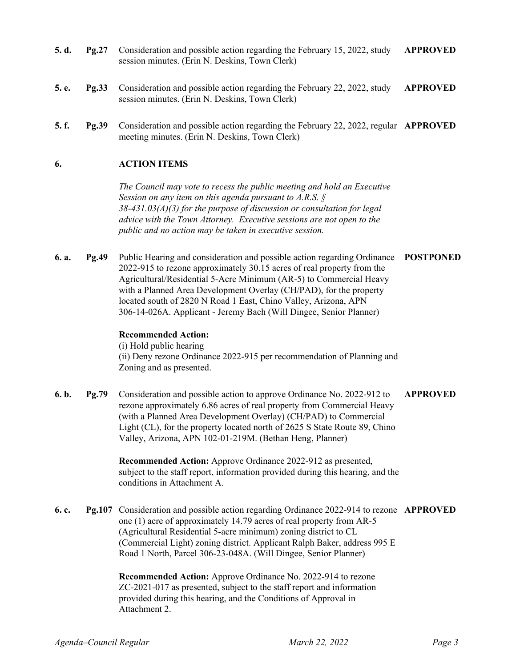- **5. d. Pg.27** Consideration and possible action regarding the February 15, 2022, study session minutes. (Erin N. Deskins, Town Clerk) **APPROVED**
- **5. e. Pg.33** Consideration and possible action regarding the February 22, 2022, study session minutes. (Erin N. Deskins, Town Clerk) **APPROVED**
- **5. f. Pg.39** Consideration and possible action regarding the February 22, 2022, regular **APPROVED** meeting minutes. (Erin N. Deskins, Town Clerk)

#### **6. ACTION ITEMS**

*The Council may vote to recess the public meeting and hold an Executive Session on any item on this agenda pursuant to A.R.S. § 38-431.03(A)(3) for the purpose of discussion or consultation for legal advice with the Town Attorney. Executive sessions are not open to the public and no action may be taken in executive session.*

**6. a. Pg.49** Public Hearing and consideration and possible action regarding Ordinance 2022-915 to rezone approximately 30.15 acres of real property from the Agricultural/Residential 5-Acre Minimum (AR-5) to Commercial Heavy with a Planned Area Development Overlay (CH/PAD), for the property located south of 2820 N Road 1 East, Chino Valley, Arizona, APN 306-14-026A. Applicant - Jeremy Bach (Will Dingee, Senior Planner) **POSTPONED**

#### **Recommended Action:**

(i) Hold public hearing (ii) Deny rezone Ordinance 2022-915 per recommendation of Planning and Zoning and as presented.

**6. b. Pg.79** Consideration and possible action to approve Ordinance No. 2022-912 to rezone approximately 6.86 acres of real property from Commercial Heavy (with a Planned Area Development Overlay) (CH/PAD) to Commercial Light (CL), for the property located north of 2625 S State Route 89, Chino Valley, Arizona, APN 102-01-219M. (Bethan Heng, Planner) **APPROVED**

> **Recommended Action:** Approve Ordinance 2022-912 as presented, subject to the staff report, information provided during this hearing, and the conditions in Attachment A.

**6. c. Pg.107** Consideration and possible action regarding Ordinance 2022-914 to rezone **APPROVED** one (1) acre of approximately 14.79 acres of real property from AR-5 (Agricultural Residential 5-acre minimum) zoning district to CL (Commercial Light) zoning district. Applicant Ralph Baker, address 995 E Road 1 North, Parcel 306-23-048A. (Will Dingee, Senior Planner)

> **Recommended Action:** Approve Ordinance No. 2022-914 to rezone ZC-2021-017 as presented, subject to the staff report and information provided during this hearing, and the Conditions of Approval in Attachment 2.